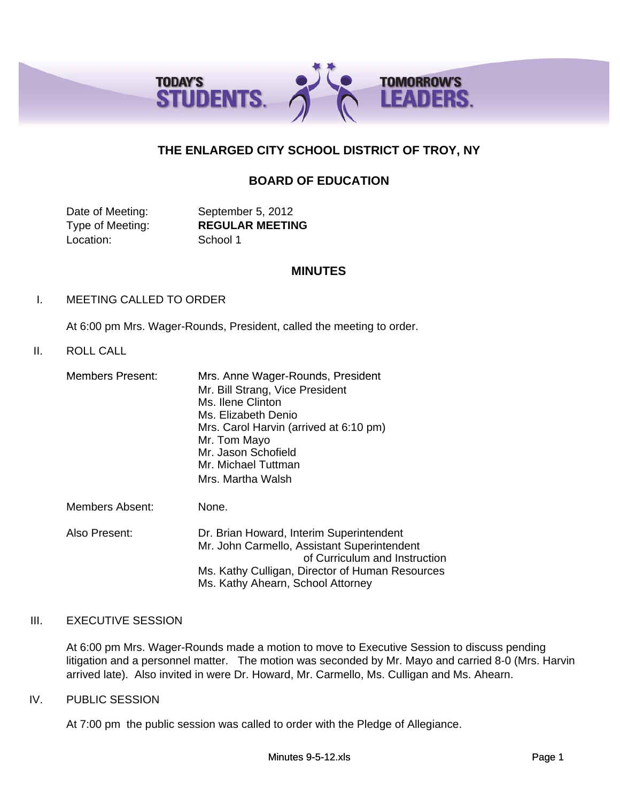

# **THE ENLARGED CITY SCHOOL DISTRICT OF TROY, NY**

# **BOARD OF EDUCATION**

Date of Meeting: September 5, 2012 Location: School 1

Type of Meeting: **REGULAR MEETING**

## **MINUTES**

## I. MEETING CALLED TO ORDER

At 6:00 pm Mrs. Wager-Rounds, President, called the meeting to order.

# II. ROLL CALL

| <b>Members Present:</b> | Mrs. Anne Wager-Rounds, President<br>Mr. Bill Strang, Vice President<br>Ms. Ilene Clinton<br>Ms. Elizabeth Denio<br>Mrs. Carol Harvin (arrived at 6:10 pm)<br>Mr. Tom Mayo<br>Mr. Jason Schofield<br>Mr. Michael Tuttman<br>Mrs. Martha Walsh |
|-------------------------|-----------------------------------------------------------------------------------------------------------------------------------------------------------------------------------------------------------------------------------------------|
| Members Absent:         | None.                                                                                                                                                                                                                                         |
| Also Present:           | Dr. Brian Howard, Interim Superintendent<br>Mr. John Carmello, Assistant Superintendent<br>of Curriculum and Instruction<br>Ms. Kathy Culligan, Director of Human Resources                                                                   |

### III. EXECUTIVE SESSION

At 6:00 pm Mrs. Wager-Rounds made a motion to move to Executive Session to discuss pending litigation and a personnel matter. The motion was seconded by Mr. Mayo and carried 8-0 (Mrs. Harvin arrived late). Also invited in were Dr. Howard, Mr. Carmello, Ms. Culligan and Ms. Ahearn.

### IV. PUBLIC SESSION

At 7:00 pm the public session was called to order with the Pledge of Allegiance.

Ms. Kathy Ahearn, School Attorney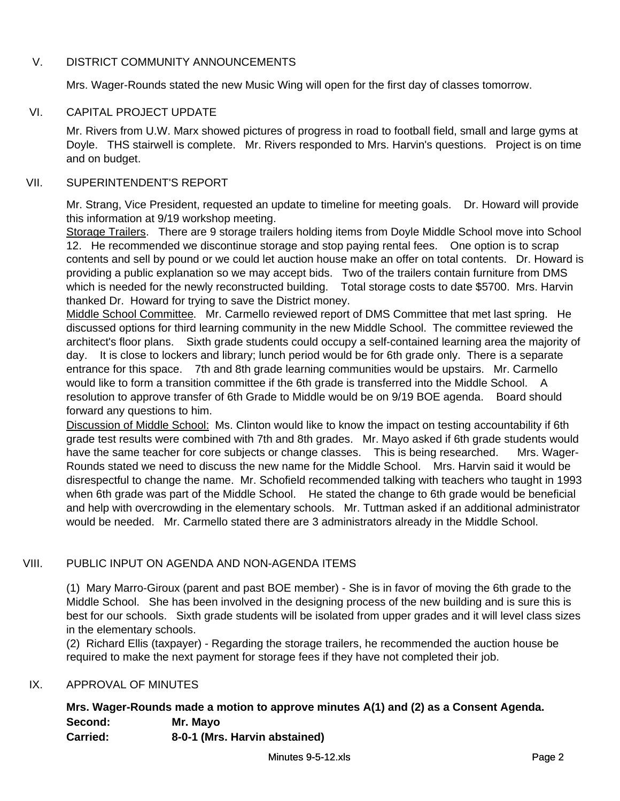# V. DISTRICT COMMUNITY ANNOUNCEMENTS

Mrs. Wager-Rounds stated the new Music Wing will open for the first day of classes tomorrow.

# VI. CAPITAL PROJECT UPDATE

Mr. Rivers from U.W. Marx showed pictures of progress in road to football field, small and large gyms at Doyle. THS stairwell is complete. Mr. Rivers responded to Mrs. Harvin's questions. Project is on time and on budget.

## VII. SUPERINTENDENT'S REPORT

Mr. Strang, Vice President, requested an update to timeline for meeting goals. Dr. Howard will provide this information at 9/19 workshop meeting.

Storage Trailers. There are 9 storage trailers holding items from Doyle Middle School move into School 12. He recommended we discontinue storage and stop paying rental fees. One option is to scrap contents and sell by pound or we could let auction house make an offer on total contents. Dr. Howard is providing a public explanation so we may accept bids. Two of the trailers contain furniture from DMS which is needed for the newly reconstructed building. Total storage costs to date \$5700. Mrs. Harvin thanked Dr. Howard for trying to save the District money.

Middle School Committee. Mr. Carmello reviewed report of DMS Committee that met last spring. He discussed options for third learning community in the new Middle School. The committee reviewed the architect's floor plans. Sixth grade students could occupy a self-contained learning area the majority of day. It is close to lockers and library; lunch period would be for 6th grade only. There is a separate entrance for this space. 7th and 8th grade learning communities would be upstairs. Mr. Carmello would like to form a transition committee if the 6th grade is transferred into the Middle School. A resolution to approve transfer of 6th Grade to Middle would be on 9/19 BOE agenda. Board should forward any questions to him.

Discussion of Middle School: Ms. Clinton would like to know the impact on testing accountability if 6th grade test results were combined with 7th and 8th grades. Mr. Mayo asked if 6th grade students would have the same teacher for core subjects or change classes. This is being researched. Mrs. Wager-Rounds stated we need to discuss the new name for the Middle School. Mrs. Harvin said it would be disrespectful to change the name. Mr. Schofield recommended talking with teachers who taught in 1993 when 6th grade was part of the Middle School. He stated the change to 6th grade would be beneficial and help with overcrowding in the elementary schools. Mr. Tuttman asked if an additional administrator would be needed. Mr. Carmello stated there are 3 administrators already in the Middle School.

# VIII. PUBLIC INPUT ON AGENDA AND NON-AGENDA ITEMS

(1) Mary Marro-Giroux (parent and past BOE member) - She is in favor of moving the 6th grade to the Middle School. She has been involved in the designing process of the new building and is sure this is best for our schools. Sixth grade students will be isolated from upper grades and it will level class sizes in the elementary schools.

(2) Richard Ellis (taxpayer) - Regarding the storage trailers, he recommended the auction house be required to make the next payment for storage fees if they have not completed their job.

# IX. APPROVAL OF MINUTES

# **Mrs. Wager-Rounds made a motion to approve minutes A(1) and (2) as a Consent Agenda. Second: Mr. Mayo Carried: 8-0-1 (Mrs. Harvin abstained)**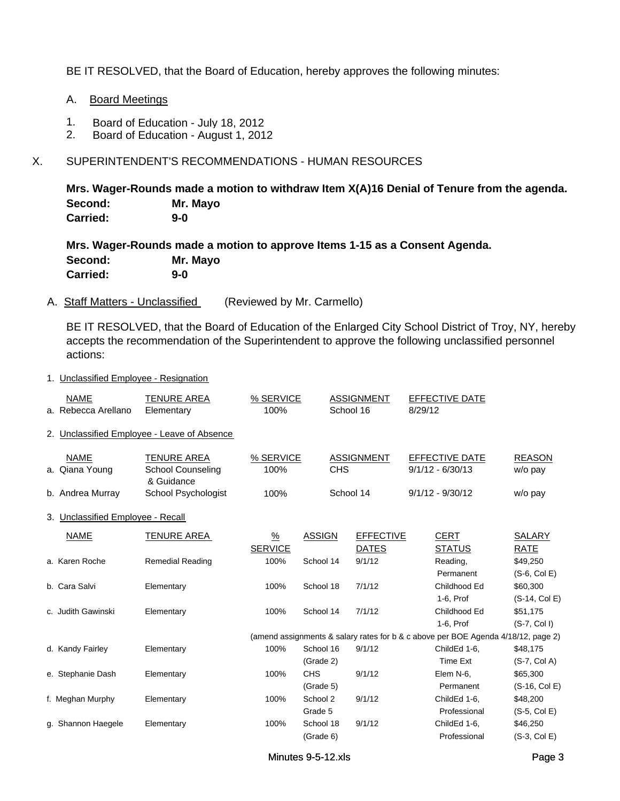BE IT RESOLVED, that the Board of Education, hereby approves the following minutes:

- A. Board Meetings
- 1. Board of Education July 18, 2012
- 2. Board of Education August 1, 2012

# X. SUPERINTENDENT'S RECOMMENDATIONS - HUMAN RESOURCES

**Mrs. Wager-Rounds made a motion to withdraw Item X(A)16 Denial of Tenure from the agenda. Second: Mr. Mayo Carried: 9-0**

**Mrs. Wager-Rounds made a motion to approve Items 1-15 as a Consent Agenda. Second: Mr. Mayo Carried: 9-0**

A. Staff Matters - Unclassified (Reviewed by Mr. Carmello)

BE IT RESOLVED, that the Board of Education of the Enlarged City School District of Troy, NY, hereby accepts the recommendation of the Superintendent to approve the following unclassified personnel actions:

1. Unclassified Employee - Resignation

| <b>NAME</b>                       | <b>TENURE AREA</b>                          | % SERVICE      |               | <b>ASSIGNMENT</b> |         | <b>EFFECTIVE DATE</b>                                                             |                 |
|-----------------------------------|---------------------------------------------|----------------|---------------|-------------------|---------|-----------------------------------------------------------------------------------|-----------------|
| a. Rebecca Arellano               | Elementary                                  | 100%           |               | School 16         | 8/29/12 |                                                                                   |                 |
|                                   | 2. Unclassified Employee - Leave of Absence |                |               |                   |         |                                                                                   |                 |
| <b>NAME</b>                       | <b>TENURE AREA</b>                          | % SERVICE      |               | <b>ASSIGNMENT</b> |         | EFFECTIVE DATE                                                                    | <b>REASON</b>   |
| a. Qiana Young                    | <b>School Counseling</b><br>& Guidance      | 100%           | <b>CHS</b>    |                   |         | $9/1/12 - 6/30/13$                                                                | $w/o$ pay       |
| b. Andrea Murray                  | School Psychologist                         | 100%           |               | School 14         |         | $9/1/12 - 9/30/12$                                                                | w/o pay         |
| 3. Unclassified Employee - Recall |                                             |                |               |                   |         |                                                                                   |                 |
| <b>NAME</b>                       | TENURE AREA                                 | $\frac{9}{6}$  | <b>ASSIGN</b> | <b>EFFECTIVE</b>  |         | <b>CERT</b>                                                                       | <b>SALARY</b>   |
|                                   |                                             | <b>SERVICE</b> |               | <b>DATES</b>      |         | <b>STATUS</b>                                                                     | <b>RATE</b>     |
| a. Karen Roche                    | <b>Remedial Reading</b>                     | 100%           | School 14     | 9/1/12            |         | Reading,                                                                          | \$49,250        |
|                                   |                                             |                |               |                   |         | Permanent                                                                         | $(S-6, Col E)$  |
| b. Cara Salvi                     | Elementary                                  | 100%           | School 18     | 7/1/12            |         | Childhood Ed                                                                      | \$60,300        |
|                                   |                                             |                |               |                   |         | 1-6, Prof                                                                         | $(S-14, Col E)$ |
| c. Judith Gawinski                | Elementary                                  | 100%           | School 14     | 7/1/12            |         | Childhood Ed                                                                      | \$51,175        |
|                                   |                                             |                |               |                   |         | 1-6, Prof                                                                         | $(S-7, Col I)$  |
|                                   |                                             |                |               |                   |         | (amend assignments & salary rates for b & c above per BOE Agenda 4/18/12, page 2) |                 |
| d. Kandy Fairley                  | Elementary                                  | 100%           | School 16     | 9/1/12            |         | ChildEd 1-6,                                                                      | \$48,175        |
|                                   |                                             |                | (Grade 2)     |                   |         | Time Ext                                                                          | $(S-7, Col A)$  |
| e. Stephanie Dash                 | Elementary                                  | 100%           | <b>CHS</b>    | 9/1/12            |         | Elem N-6,                                                                         | \$65,300        |
|                                   |                                             |                | (Grade 5)     |                   |         | Permanent                                                                         | (S-16, Col E)   |
| f. Meghan Murphy                  | Elementary                                  | 100%           | School 2      | 9/1/12            |         | ChildEd 1-6,                                                                      | \$48,200        |
|                                   |                                             |                | Grade 5       |                   |         | Professional                                                                      | $(S-5, Col E)$  |
| g. Shannon Haegele                | Elementary                                  | 100%           | School 18     | 9/1/12            |         | ChildEd 1-6,                                                                      | \$46,250        |
|                                   |                                             |                | (Grade 6)     |                   |         | Professional                                                                      | (S-3, Col E)    |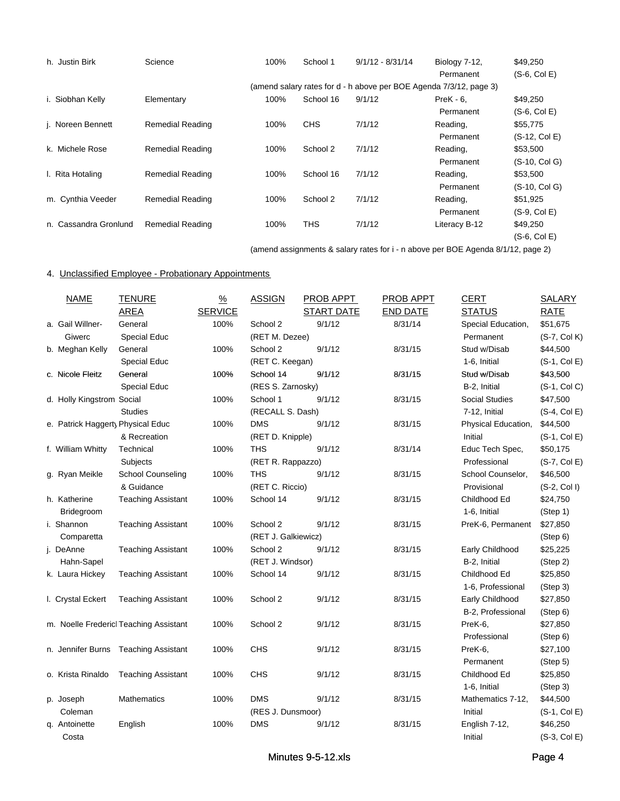| h. Justin Birk        | Science                 | 100% | School 1   | $9/1/12 - 8/31/14$                                                 | Biology 7-12, | \$49,250       |
|-----------------------|-------------------------|------|------------|--------------------------------------------------------------------|---------------|----------------|
|                       |                         |      |            |                                                                    | Permanent     | $(S-6, Col E)$ |
|                       |                         |      |            | (amend salary rates for d - h above per BOE Agenda 7/3/12, page 3) |               |                |
| i. Siobhan Kelly      | Elementary              | 100% | School 16  | 9/1/12                                                             | $PreK - 6$ .  | \$49,250       |
|                       |                         |      |            |                                                                    | Permanent     | $(S-6, Col E)$ |
| j. Noreen Bennett     | <b>Remedial Reading</b> | 100% | <b>CHS</b> | 7/1/12                                                             | Reading,      | \$55,775       |
|                       |                         |      |            |                                                                    | Permanent     | (S-12, Col E)  |
| k. Michele Rose       | <b>Remedial Reading</b> | 100% | School 2   | 7/1/12                                                             | Reading,      | \$53,500       |
|                       |                         |      |            |                                                                    | Permanent     | (S-10, Col G)  |
| I. Rita Hotaling      | <b>Remedial Reading</b> | 100% | School 16  | 7/1/12                                                             | Reading,      | \$53,500       |
|                       |                         |      |            |                                                                    | Permanent     | (S-10, Col G)  |
| m. Cynthia Veeder     | <b>Remedial Reading</b> | 100% | School 2   | 7/1/12                                                             | Reading,      | \$51,925       |
|                       |                         |      |            |                                                                    | Permanent     | $(S-9, Col E)$ |
| n. Cassandra Gronlund | <b>Remedial Reading</b> | 100% | <b>THS</b> | 7/1/12                                                             | Literacy B-12 | \$49,250       |
|                       |                         |      |            |                                                                    |               | $(S-6, Col E)$ |

(amend assignments & salary rates for i - n above per BOE Agenda 8/1/12, page 2)

### 4. Unclassified Employee - Probationary Appointments

| <b>NAME</b>                       | <b>TENURE</b>                          | $\frac{9}{6}$  | <b>ASSIGN</b>       | PROB APPT         | <b>PROB APPT</b> | <b>CERT</b>           | <b>SALARY</b>  |
|-----------------------------------|----------------------------------------|----------------|---------------------|-------------------|------------------|-----------------------|----------------|
|                                   | <b>AREA</b>                            | <b>SERVICE</b> |                     | <b>START DATE</b> | <b>END DATE</b>  | <b>STATUS</b>         | <b>RATE</b>    |
| a. Gail Willner-                  | General                                | 100%           | School 2            | 9/1/12            | 8/31/14          | Special Education,    | \$51,675       |
| Giwerc                            | Special Educ                           |                | (RET M. Dezee)      |                   |                  | Permanent             | (S-7, Col K)   |
| b. Meghan Kelly                   | General                                | 100%           | School 2            | 9/1/12            | 8/31/15          | Stud w/Disab          | \$44,500       |
|                                   | Special Educ                           |                | (RET C. Keegan)     |                   |                  | 1-6, Initial          | $(S-1, Col E)$ |
| c. Nicole Fleitz                  | General                                | 100%           | School 14           | 9/1/12            | 8/31/15          | Stud w/Disab          | \$43,500       |
|                                   | <b>Special Educ</b>                    |                | (RES S. Zarnosky)   |                   |                  | B-2, Initial          | $(S-1, Col C)$ |
| d. Holly Kingstrom Social         |                                        | 100%           | School 1            | 9/1/12            | 8/31/15          | <b>Social Studies</b> | \$47,500       |
|                                   | <b>Studies</b>                         |                | (RECALL S. Dash)    |                   |                  | 7-12, Initial         | $(S-4, Col E)$ |
| e. Patrick Haggerty Physical Educ |                                        | 100%           | <b>DMS</b>          | 9/1/12            | 8/31/15          | Physical Education,   | \$44,500       |
|                                   | & Recreation                           |                | (RET D. Knipple)    |                   |                  | Initial               | $(S-1, Col E)$ |
| f. William Whitty                 | Technical                              | 100%           | THS                 | 9/1/12            | 8/31/14          | Educ Tech Spec,       | \$50,175       |
|                                   | Subjects                               |                | (RET R. Rappazzo)   |                   |                  | Professional          | $(S-7, Col E)$ |
| g. Ryan Meikle                    | <b>School Counseling</b>               | 100%           | <b>THS</b>          | 9/1/12            | 8/31/15          | School Counselor,     | \$46,500       |
|                                   | & Guidance                             |                | (RET C. Riccio)     |                   |                  | Provisional           | $(S-2, Col I)$ |
| h. Katherine                      | <b>Teaching Assistant</b>              | 100%           | School 14           | 9/1/12            | 8/31/15          | Childhood Ed          | \$24,750       |
| <b>Bridegroom</b>                 |                                        |                |                     |                   |                  | 1-6, Initial          | (Step 1)       |
| i. Shannon                        | <b>Teaching Assistant</b>              | 100%           | School 2            | 9/1/12            | 8/31/15          | PreK-6, Permanent     | \$27,850       |
| Comparetta                        |                                        |                | (RET J. Galkiewicz) |                   |                  |                       | (Stop 6)       |
| j. DeAnne                         | <b>Teaching Assistant</b>              | 100%           | School 2            | 9/1/12            | 8/31/15          | Early Childhood       | \$25,225       |
| Hahn-Sapel                        |                                        |                | (RET J. Windsor)    |                   |                  | B-2, Initial          | (Step 2)       |
| k. Laura Hickey                   | <b>Teaching Assistant</b>              | 100%           | School 14           | 9/1/12            | 8/31/15          | Childhood Ed          | \$25,850       |
|                                   |                                        |                |                     |                   |                  | 1-6, Professional     | (Step 3)       |
| I. Crystal Eckert                 | <b>Teaching Assistant</b>              | 100%           | School 2            | 9/1/12            | 8/31/15          | Early Childhood       | \$27,850       |
|                                   |                                        |                |                     |                   |                  | B-2, Professional     | (Step 6)       |
|                                   | m. Noelle Fredericl Teaching Assistant | 100%           | School 2            | 9/1/12            | 8/31/15          | PreK-6,               | \$27,850       |
|                                   |                                        |                |                     |                   |                  | Professional          | (Step 6)       |
|                                   | n. Jennifer Burns Teaching Assistant   | 100%           | <b>CHS</b>          | 9/1/12            | 8/31/15          | PreK-6,               | \$27,100       |
|                                   |                                        |                |                     |                   |                  | Permanent             | (Step 5)       |
| o. Krista Rinaldo                 | <b>Teaching Assistant</b>              | 100%           | <b>CHS</b>          | 9/1/12            | 8/31/15          | Childhood Ed          | \$25,850       |
|                                   |                                        |                |                     |                   |                  | 1-6, Initial          | (Step 3)       |
| p. Joseph                         | Mathematics                            | 100%           | <b>DMS</b>          | 9/1/12            | 8/31/15          | Mathematics 7-12,     | \$44,500       |
| Coleman                           |                                        |                | (RES J. Dunsmoor)   |                   |                  | Initial               | $(S-1, Col E)$ |
| g. Antoinette                     | English                                | 100%           | <b>DMS</b>          | 9/1/12            | 8/31/15          | English 7-12,         | \$46,250       |
| Costa                             |                                        |                |                     |                   |                  | Initial               | $(S-3, Col E)$ |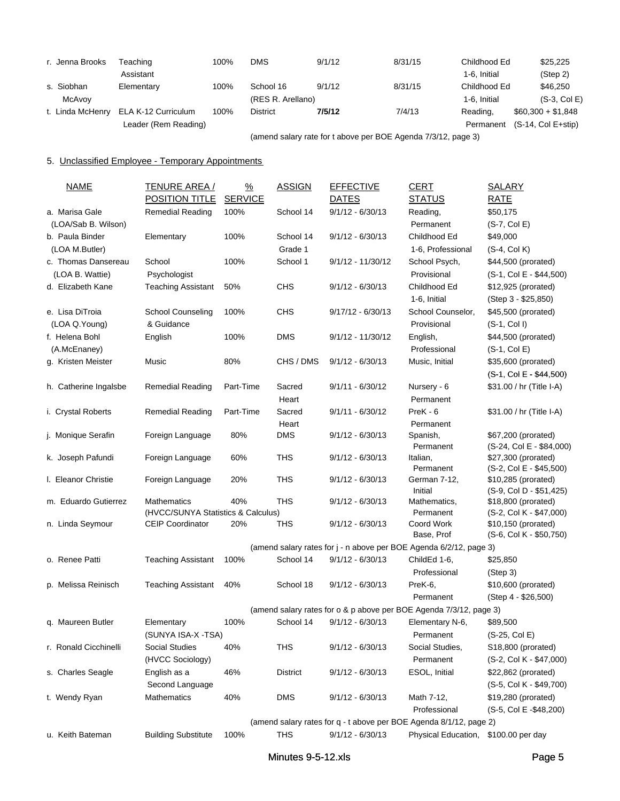| r. Jenna Brooks  | Teaching             | 100% | DMS               | 9/1/12                                            | 8/31/15 | Childhood Ed | \$25,225             |
|------------------|----------------------|------|-------------------|---------------------------------------------------|---------|--------------|----------------------|
|                  | Assistant            |      |                   |                                                   |         | 1-6. Initial | (Step 2)             |
| s. Siobhan       | Elementary           | 100% | School 16         | 9/1/12                                            | 8/31/15 | Childhood Ed | \$46,250             |
| McAvov           |                      |      | (RES R. Arellano) |                                                   |         | 1-6. Initial | $(S-3, Col E)$       |
| t. Linda McHenry | ELA K-12 Curriculum  | 100% | <b>District</b>   | 7/5/12                                            | 7/4/13  | Reading,     | $$60,300 + $1,848$   |
|                  | Leader (Rem Reading) |      |                   |                                                   |         | Permanent    | $(S-14, Col E+stip)$ |
|                  |                      |      |                   | $\lambda$ ii is it is not in the set of $\lambda$ |         |              |                      |

(amend salary rate for t above per BOE Agenda 7/3/12, page 3)

# 5. Unclassified Employee - Temporary Appointments

| <b>NAME</b>           | <b>TENURE AREA /</b>                                          | $\frac{9}{6}$  | <b>ASSIGN</b>   | <b>EFFECTIVE</b>    | <b>CERT</b>                                                        | <b>SALARY</b>                                  |
|-----------------------|---------------------------------------------------------------|----------------|-----------------|---------------------|--------------------------------------------------------------------|------------------------------------------------|
|                       | <b>POSITION TITLE</b>                                         | <b>SERVICE</b> |                 | <b>DATES</b>        | <b>STATUS</b>                                                      | <b>RATE</b>                                    |
| a. Marisa Gale        | <b>Remedial Reading</b>                                       | 100%           | School 14       | $9/1/12 - 6/30/13$  | Reading,                                                           | \$50,175                                       |
| (LOA/Sab B. Wilson)   |                                                               |                |                 |                     | Permanent                                                          | $(S-7, Col E)$                                 |
| b. Paula Binder       | Elementary                                                    | 100%           | School 14       | $9/1/12 - 6/30/13$  | Childhood Ed                                                       | \$49,000                                       |
| (LOA M.Butler)        |                                                               |                | Grade 1         |                     | 1-6, Professional                                                  | $(S-4, Col K)$                                 |
| c. Thomas Dansereau   | School                                                        | 100%           | School 1        | $9/1/12 - 11/30/12$ | School Psych,                                                      | \$44,500 (prorated)                            |
| (LOA B. Wattie)       | Psychologist                                                  |                |                 |                     | Provisional                                                        | (S-1, Col E - \$44,500)                        |
| d. Elizabeth Kane     | <b>Teaching Assistant</b>                                     | 50%            | <b>CHS</b>      | $9/1/12 - 6/30/13$  | Childhood Ed                                                       | \$12,925 (prorated)                            |
|                       |                                                               |                |                 |                     | 1-6, Initial                                                       | (Step 3 - \$25,850)                            |
| e. Lisa DiTroia       | School Counseling                                             | 100%           | <b>CHS</b>      | $9/17/12 - 6/30/13$ | School Counselor,                                                  | \$45,500 (prorated)                            |
| (LOA Q.Young)         | & Guidance                                                    |                |                 |                     | Provisional                                                        | $(S-1, Col I)$                                 |
| f. Helena Bohl        | English                                                       | 100%           | <b>DMS</b>      | $9/1/12 - 11/30/12$ | English,                                                           | \$44,500 (prorated)                            |
| (A.McEnaney)          |                                                               |                |                 |                     | Professional                                                       | $(S-1, Col E)$                                 |
| g. Kristen Meister    | Music                                                         | 80%            | CHS / DMS       | $9/1/12 - 6/30/13$  | Music, Initial                                                     | \$35,600 (prorated)                            |
|                       |                                                               |                |                 |                     |                                                                    | $(S-1, Col E - $44,500)$                       |
| h. Catherine Ingalsbe | Remedial Reading                                              | Part-Time      | Sacred          | $9/1/11 - 6/30/12$  | Nursery - 6                                                        | \$31.00 / hr (Title I-A)                       |
|                       |                                                               |                | Heart           |                     | Permanent                                                          |                                                |
| i. Crystal Roberts    | <b>Remedial Reading</b>                                       | Part-Time      | Sacred          | $9/1/11 - 6/30/12$  | PreK - 6                                                           | \$31.00 / hr (Title I-A)                       |
|                       |                                                               |                | Heart           |                     | Permanent                                                          |                                                |
| j. Monique Serafin    | Foreign Language                                              | 80%            | <b>DMS</b>      | $9/1/12 - 6/30/13$  | Spanish,                                                           | \$67,200 (prorated)                            |
|                       |                                                               |                |                 |                     | Permanent                                                          | (S-24, Col E - \$84,000)                       |
| k. Joseph Pafundi     | Foreign Language                                              | 60%            | THS             | $9/1/12 - 6/30/13$  | Italian,                                                           | \$27,300 (prorated)                            |
|                       |                                                               |                |                 |                     | Permanent                                                          | (S-2, Col E - \$45,500)                        |
| I. Eleanor Christie   | Foreign Language                                              | 20%            | THS             | $9/1/12 - 6/30/13$  | German 7-12,                                                       | \$10,285 (prorated)                            |
|                       |                                                               |                |                 |                     | Initial                                                            | (S-9, Col D - \$51,425)                        |
| m. Eduardo Gutierrez  | <b>Mathematics</b>                                            | 40%            | <b>THS</b>      | $9/1/12 - 6/30/13$  | Mathematics,                                                       | \$18,800 (prorated)                            |
| n. Linda Seymour      | (HVCC/SUNYA Statistics & Calculus)<br><b>CEIP Coordinator</b> | 20%            | THS             | $9/1/12 - 6/30/13$  | Permanent<br>Coord Work                                            | (S-2, Col K - \$47,000)<br>\$10,150 (prorated) |
|                       |                                                               |                |                 |                     | Base, Prof                                                         | (S-6, Col K - \$50,750)                        |
|                       |                                                               |                |                 |                     | (amend salary rates for j - n above per BOE Agenda 6/2/12, page 3) |                                                |
| o. Renee Patti        | <b>Teaching Assistant</b>                                     | 100%           | School 14       | $9/1/12 - 6/30/13$  | ChildEd 1-6,                                                       | \$25,850                                       |
|                       |                                                               |                |                 |                     | Professional                                                       | (Step 3)                                       |
| p. Melissa Reinisch   | <b>Teaching Assistant</b>                                     | 40%            | School 18       | $9/1/12 - 6/30/13$  | PreK-6,                                                            | \$10,600 (prorated)                            |
|                       |                                                               |                |                 |                     | Permanent                                                          | (Step 4 - \$26,500)                            |
|                       |                                                               |                |                 |                     | (amend salary rates for o & p above per BOE Agenda 7/3/12, page 3) |                                                |
| g. Maureen Butler     | Elementary                                                    | 100%           | School 14       | $9/1/12 - 6/30/13$  | Elementary N-6,                                                    | \$89,500                                       |
|                       | (SUNYA ISA-X -TSA)                                            |                |                 |                     |                                                                    |                                                |
|                       |                                                               |                | <b>THS</b>      |                     | Permanent<br>Social Studies,                                       | (S-25, Col E)                                  |
| r. Ronald Cicchinelli | Social Studies                                                | 40%            |                 | $9/1/12 - 6/30/13$  |                                                                    | S <sub>18</sub> ,800 (prorated)                |
|                       | (HVCC Sociology)                                              |                |                 |                     | Permanent                                                          | (S-2, Col K - \$47,000)                        |
| s. Charles Seagle     | English as a                                                  | 46%            | <b>District</b> | $9/1/12 - 6/30/13$  | ESOL, Initial                                                      | \$22,862 (prorated)                            |
|                       | Second Language                                               |                |                 |                     |                                                                    | (S-5, Col K - \$49,700)                        |
| t. Wendy Ryan         | Mathematics                                                   | 40%            | <b>DMS</b>      | $9/1/12 - 6/30/13$  | Math 7-12,                                                         | \$19,280 (prorated)                            |
|                       |                                                               |                |                 |                     | Professional                                                       | (S-5, Col E -\$48,200)                         |
|                       |                                                               |                |                 |                     | (amend salary rates for q - t above per BOE Agenda 8/1/12, page 2) |                                                |
| u. Keith Bateman      | <b>Building Substitute</b>                                    | 100%           | THS             | $9/1/12 - 6/30/13$  | Physical Education,                                                | \$100.00 per day                               |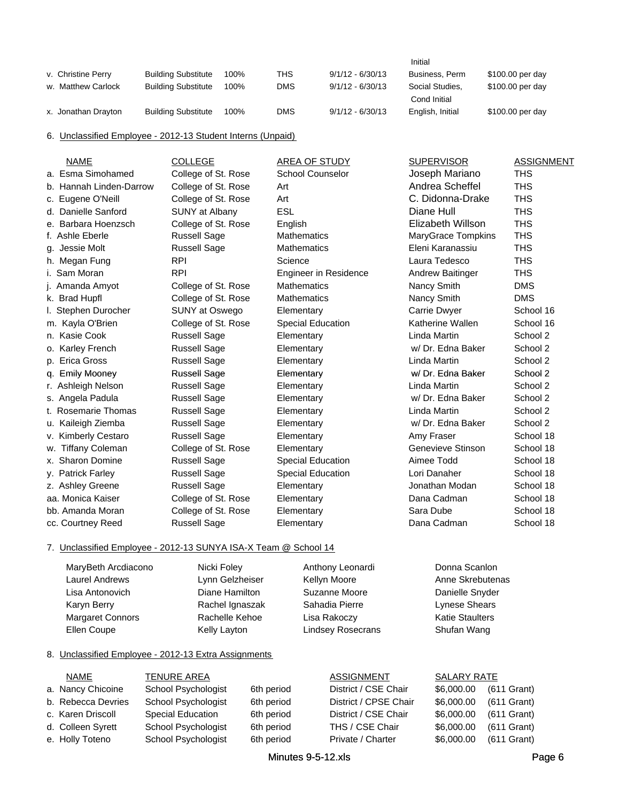|                     |                            |      |            |                    | Initial          |                  |
|---------------------|----------------------------|------|------------|--------------------|------------------|------------------|
| v. Christine Perry  | <b>Building Substitute</b> | 100% | THS.       | $9/1/12 - 6/30/13$ | Business, Perm   | \$100.00 per day |
| w. Matthew Carlock  | <b>Building Substitute</b> | 100% | <b>DMS</b> | $9/1/12 - 6/30/13$ | Social Studies.  | \$100.00 per day |
|                     |                            |      |            |                    | Cond Initial     |                  |
| x. Jonathan Drayton | <b>Building Substitute</b> | 100% | DMS        | $9/1/12 - 6/30/13$ | English, Initial | \$100.00 per day |

6. Unclassified Employee - 2012-13 Student Interns (Unpaid)

| <b>NAME</b>             | <b>COLLEGE</b>        | AREA OF STUDY            | <b>SUPERVISOR</b>  | <b>ASSIGNMENT</b> |
|-------------------------|-----------------------|--------------------------|--------------------|-------------------|
| a. Esma Simohamed       | College of St. Rose   | <b>School Counselor</b>  | Joseph Mariano     | <b>THS</b>        |
| b. Hannah Linden-Darrow | College of St. Rose   | Art                      | Andrea Scheffel    | <b>THS</b>        |
| c. Eugene O'Neill       | College of St. Rose   | Art                      | C. Didonna-Drake   | <b>THS</b>        |
| d. Danielle Sanford     | <b>SUNY at Albany</b> | <b>ESL</b>               | Diane Hull         | <b>THS</b>        |
| e. Barbara Hoenzsch     | College of St. Rose   | English                  | Elizabeth Willson  | <b>THS</b>        |
| f. Ashle Eberle         | <b>Russell Sage</b>   | <b>Mathematics</b>       | MaryGrace Tompkins | <b>THS</b>        |
| g. Jessie Molt          | <b>Russell Sage</b>   | <b>Mathematics</b>       | Eleni Karanassiu   | <b>THS</b>        |
| h. Megan Fung           | <b>RPI</b>            | Science                  | Laura Tedesco      | <b>THS</b>        |
| i. Sam Moran            | <b>RPI</b>            | Engineer in Residence    | Andrew Baitinger   | <b>THS</b>        |
| Amanda Amyot            | College of St. Rose   | <b>Mathematics</b>       | Nancy Smith        | <b>DMS</b>        |
| k. Brad Hupfl           | College of St. Rose   | <b>Mathematics</b>       | Nancy Smith        | <b>DMS</b>        |
| I. Stephen Durocher     | SUNY at Oswego        | Elementary               | Carrie Dwyer       | School 16         |
| m. Kayla O'Brien        | College of St. Rose   | <b>Special Education</b> | Katherine Wallen   | School 16         |
| n. Kasie Cook           | <b>Russell Sage</b>   | Elementary               | Linda Martin       | School 2          |
| o. Karley French        | <b>Russell Sage</b>   | Elementary               | w/Dr. Edna Baker   | School 2          |
| p. Erica Gross          | <b>Russell Sage</b>   | Elementary               | Linda Martin       | School 2          |
| q. Emily Mooney         | <b>Russell Sage</b>   | Elementary               | w/ Dr. Edna Baker  | School 2          |
| r. Ashleigh Nelson      | <b>Russell Sage</b>   | Elementary               | Linda Martin       | School 2          |
| s. Angela Padula        | <b>Russell Sage</b>   | Elementary               | w/Dr. Edna Baker   | School 2          |
| t. Rosemarie Thomas     | <b>Russell Sage</b>   | Elementary               | Linda Martin       | School 2          |
| u. Kaileigh Ziemba      | <b>Russell Sage</b>   | Elementary               | w/ Dr. Edna Baker  | School 2          |
| v. Kimberly Cestaro     | <b>Russell Sage</b>   | Elementary               | Amy Fraser         | School 18         |
| w. Tiffany Coleman      | College of St. Rose   | Elementary               | Genevieve Stinson  | School 18         |
| x. Sharon Domine        | <b>Russell Sage</b>   | <b>Special Education</b> | Aimee Todd         | School 18         |
| y. Patrick Farley       | <b>Russell Sage</b>   | Special Education        | Lori Danaher       | School 18         |
| z. Ashley Greene        | <b>Russell Sage</b>   | Elementary               | Jonathan Modan     | School 18         |
| aa. Monica Kaiser       | College of St. Rose   | Elementary               | Dana Cadman        | School 18         |
| bb. Amanda Moran        | College of St. Rose   | Elementary               | Sara Dube          | School 18         |
| cc. Courtney Reed       | <b>Russell Sage</b>   | Elementary               | Dana Cadman        | School 18         |

### 7. Unclassified Employee - 2012-13 SUNYA ISA-X Team @ School 14

| MaryBeth Arcdiacono | Nicki Foley     | Anthony Leonardi         | Donna Scanlon          |
|---------------------|-----------------|--------------------------|------------------------|
| Laurel Andrews      | Lynn Gelzheiser | Kellyn Moore             | Anne Skrebutenas       |
| Lisa Antonovich     | Diane Hamilton  | Suzanne Moore            | Danielle Snyder        |
| Karyn Berry         | Rachel Ignaszak | Sahadia Pierre           | Lynese Shears          |
| Margaret Connors    | Rachelle Kehoe  | Lisa Rakoczy             | <b>Katie Staulters</b> |
| Ellen Coupe         | Kelly Layton    | <b>Lindsey Rosecrans</b> | Shufan Wang            |

### 8. Unclassified Employee - 2012-13 Extra Assignments

| í,<br>- |  |  |
|---------|--|--|
|         |  |  |

TENURE AREA ASSIGNMENT SALARY RATE

- 
- b. Rebecca Devries School Psychologist 6th period District / CPSE Chair \$6,000.00 (611 Grant) c. Karen Driscoll Special Education 6th period District / CSE Chair  $$6,000.00$  (611 Grant) d. Colleen Syrett School Psychologist 6th period THS / CSE Chair \$6,000.00 (611 Grant) e. Holly Toteno School Psychologist 6th period Private / Charter \$6,000.00 (611 Grant)
- 

a. Nancy Chicoine School Psychologist 6th period District / CSE Chair \$6,000.00 (611 Grant)

\$6,000.00 \$6,000.00 \$6,000.00 \$6,000.00 \$6,000.00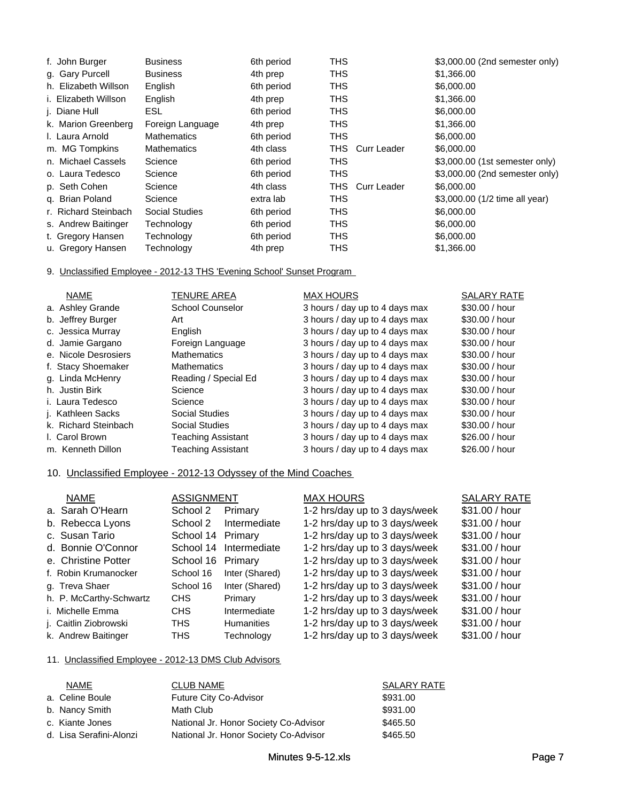| f. John Burger       | <b>Business</b>    | 6th period | <b>THS</b>          | \$3,000.00 (2nd semester only) |
|----------------------|--------------------|------------|---------------------|--------------------------------|
| g. Gary Purcell      | <b>Business</b>    | 4th prep   | <b>THS</b>          | \$1,366.00                     |
| h. Elizabeth Willson | English            | 6th period | <b>THS</b>          | \$6,000.00                     |
| i. Elizabeth Willson | English            | 4th prep   | <b>THS</b>          | \$1,366.00                     |
| j. Diane Hull        | ESL                | 6th period | <b>THS</b>          | \$6,000.00                     |
| k. Marion Greenberg  | Foreign Language   | 4th prep   | <b>THS</b>          | \$1,366.00                     |
| I. Laura Arnold      | <b>Mathematics</b> | 6th period | <b>THS</b>          | \$6,000.00                     |
| m. MG Tompkins       | <b>Mathematics</b> | 4th class  | THS.<br>Curr Leader | \$6,000.00                     |
| n. Michael Cassels   | Science            | 6th period | <b>THS</b>          | \$3,000.00 (1st semester only) |
| o. Laura Tedesco     | Science            | 6th period | <b>THS</b>          | \$3,000.00 (2nd semester only) |
| p. Seth Cohen        | Science            | 4th class  | THS<br>Curr Leader  | \$6,000.00                     |
| g. Brian Poland      | Science            | extra lab  | <b>THS</b>          | \$3,000.00 (1/2 time all year) |
| r. Richard Steinbach | Social Studies     | 6th period | <b>THS</b>          | \$6,000.00                     |
| s. Andrew Baitinger  | Technology         | 6th period | <b>THS</b>          | \$6,000.00                     |
| t. Gregory Hansen    | Technology         | 6th period | <b>THS</b>          | \$6,000.00                     |
| u. Gregory Hansen    | Technology         | 4th prep   | <b>THS</b>          | \$1,366.00                     |

### 9. Unclassified Employee - 2012-13 THS 'Evening School' Sunset Program

| <b>NAME</b>          | <b>TENURE AREA</b>        | <b>MAX HOURS</b>               | <b>SALARY RATE</b> |
|----------------------|---------------------------|--------------------------------|--------------------|
| a. Ashley Grande     | <b>School Counselor</b>   | 3 hours / day up to 4 days max | \$30,00 / hour     |
| b. Jeffrey Burger    | Art                       | 3 hours / day up to 4 days max | \$30,00 / hour     |
| c. Jessica Murray    | English                   | 3 hours / day up to 4 days max | \$30.00 / hour     |
| d. Jamie Gargano     | Foreign Language          | 3 hours / day up to 4 days max | \$30,00 / hour     |
| e. Nicole Desrosiers | <b>Mathematics</b>        | 3 hours / day up to 4 days max | \$30.00 / hour     |
| f. Stacy Shoemaker   | <b>Mathematics</b>        | 3 hours / day up to 4 days max | \$30,00 / hour     |
| g. Linda McHenry     | Reading / Special Ed      | 3 hours / day up to 4 days max | \$30.00 / hour     |
| h. Justin Birk       | Science                   | 3 hours / day up to 4 days max | \$30,00 / hour     |
| i. Laura Tedesco     | Science                   | 3 hours / day up to 4 days max | \$30.00 / hour     |
| j. Kathleen Sacks    | <b>Social Studies</b>     | 3 hours / day up to 4 days max | \$30.00 / hour     |
| k. Richard Steinbach | <b>Social Studies</b>     | 3 hours / day up to 4 days max | \$30.00 / hour     |
| I. Carol Brown       | <b>Teaching Assistant</b> | 3 hours / day up to 4 days max | \$26.00 / hour     |
| m. Kenneth Dillon    | Teaching Assistant        | 3 hours / day up to 4 days max | \$26.00 / hour     |

## 10. Unclassified Employee - 2012-13 Odyssey of the Mind Coaches

| <b>NAME</b>             | <b>ASSIGNMENT</b> |                   | <b>MAX HOURS</b>              | <b>SALARY RATE</b> |
|-------------------------|-------------------|-------------------|-------------------------------|--------------------|
| a. Sarah O'Hearn        | School 2          | Primary           | 1-2 hrs/day up to 3 days/week | \$31.00 / hour     |
| b. Rebecca Lyons        | School 2          | Intermediate      | 1-2 hrs/day up to 3 days/week | \$31.00 / hour     |
| c. Susan Tario          | School 14         | Primary           | 1-2 hrs/day up to 3 days/week | \$31.00 / hour     |
| d. Bonnie O'Connor      | School 14         | Intermediate      | 1-2 hrs/day up to 3 days/week | \$31.00 / hour     |
| e. Christine Potter     | School 16         | Primary           | 1-2 hrs/day up to 3 days/week | \$31.00 / hour     |
| f. Robin Krumanocker    | School 16         | Inter (Shared)    | 1-2 hrs/day up to 3 days/week | \$31.00 / hour     |
| g. Treva Shaer          | School 16         | Inter (Shared)    | 1-2 hrs/day up to 3 days/week | \$31.00 / hour     |
| h. P. McCarthy-Schwartz | <b>CHS</b>        | Primary           | 1-2 hrs/day up to 3 days/week | \$31.00 / hour     |
| i. Michelle Emma        | CH <sub>S</sub>   | Intermediate      | 1-2 hrs/day up to 3 days/week | \$31.00 / hour     |
| j. Caitlin Ziobrowski   | <b>THS</b>        | <b>Humanities</b> | 1-2 hrs/day up to 3 days/week | \$31.00 / hour     |
| k. Andrew Baitinger     | <b>THS</b>        | Technology        | 1-2 hrs/day up to 3 days/week | \$31.00 / hour     |

### 11. Unclassified Employee - 2012-13 DMS Club Advisors

| <b>NAME</b>             | <b>CLUB NAME</b>                      | <b>SALARY RATE</b> |
|-------------------------|---------------------------------------|--------------------|
| a. Celine Boule         | Future City Co-Advisor                | \$931.00           |
| b. Nancy Smith          | Math Club                             | \$931.00           |
| c. Kiante Jones         | National Jr. Honor Society Co-Advisor | \$465.50           |
| d. Lisa Serafini-Alonzi | National Jr. Honor Society Co-Advisor | \$465.50           |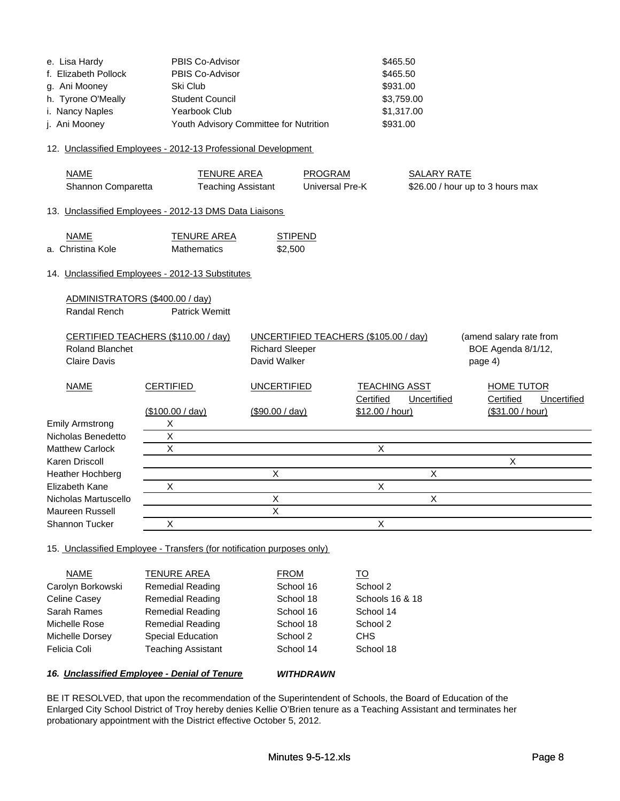| e. Lisa Hardy        | PBIS Co-Advisor                        | \$465.50   |
|----------------------|----------------------------------------|------------|
| f. Elizabeth Pollock | PBIS Co-Advisor                        | \$465.50   |
| g. Ani Mooney        | Ski Club                               | \$931.00   |
| h. Tyrone O'Meally   | <b>Student Council</b>                 | \$3,759.00 |
| i. Nancy Naples      | Yearbook Club                          | \$1,317.00 |
| j. Ani Mooney        | Youth Advisory Committee for Nutrition | \$931.00   |

### 12. Unclassified Employees - 2012-13 Professional Development

| <b>NAME</b><br>Shannon Comparetta               | <b>TENURE AREA</b><br><b>Teaching Assistant</b>        |                                        | <b>PROGRAM</b><br>Universal Pre-K     |                                   | <b>SALARY RATE</b> | \$26.00 / hour up to 3 hours max                         |             |
|-------------------------------------------------|--------------------------------------------------------|----------------------------------------|---------------------------------------|-----------------------------------|--------------------|----------------------------------------------------------|-------------|
|                                                 | 13. Unclassified Employees - 2012-13 DMS Data Liaisons |                                        |                                       |                                   |                    |                                                          |             |
| <b>NAME</b><br>a.  Christina Kole               | <b>TENURE AREA</b><br><b>Mathematics</b>               | <b>STIPEND</b><br>\$2.500              |                                       |                                   |                    |                                                          |             |
|                                                 | 14. Unclassified Employees - 2012-13 Substitutes       |                                        |                                       |                                   |                    |                                                          |             |
| ADMINISTRATORS (\$400.00 / day)<br>Randal Rench | <b>Patrick Wemitt</b>                                  |                                        |                                       |                                   |                    |                                                          |             |
| <b>Roland Blanchet</b><br><b>Claire Davis</b>   | CERTIFIED TEACHERS (\$110.00 / day)                    | <b>Richard Sleeper</b><br>David Walker | UNCERTIFIED TEACHERS (\$105.00 / day) |                                   |                    | (amend salary rate from<br>BOE Agenda 8/1/12,<br>page 4) |             |
| <b>NAME</b>                                     | <b>CERTIFIED</b>                                       | <b>UNCERTIFIED</b>                     |                                       | <b>TEACHING ASST</b><br>Certified | Uncertified        | <b>HOME TUTOR</b><br>Certified                           | Uncertified |
|                                                 | (\$100.00 / day)                                       | (\$90.00 / day)                        |                                       | \$12.00 / hour)                   |                    | (\$31.00 / hour)                                         |             |
| <b>Emily Armstrong</b>                          | X                                                      |                                        |                                       |                                   |                    |                                                          |             |
| Nicholas Benedetto                              | X                                                      |                                        |                                       |                                   |                    |                                                          |             |
| <b>Matthew Carlock</b>                          | $\times$                                               |                                        |                                       | X                                 |                    |                                                          |             |
| Karen Driscoll                                  |                                                        |                                        |                                       |                                   |                    | X                                                        |             |
| Heather Hochberg                                |                                                        | X                                      |                                       |                                   | X                  |                                                          |             |
| Elizabeth Kane                                  | X                                                      |                                        |                                       | X                                 |                    |                                                          |             |
| Nicholas Martuscello                            |                                                        | X<br>X                                 |                                       |                                   | $\mathsf{X}$       |                                                          |             |
| Maureen Russell<br>Shannon Tucker               | X                                                      |                                        |                                       | X                                 |                    |                                                          |             |
|                                                 |                                                        |                                        |                                       |                                   |                    |                                                          |             |

### 15. Unclassified Employee - Transfers (for notification purposes only)

|                   | 16. Unclassified Employee - Denial of Tenure | <b>WITHDRAWN</b> |                 |
|-------------------|----------------------------------------------|------------------|-----------------|
| Felicia Coli      | <b>Teaching Assistant</b>                    | School 14        | School 18       |
| Michelle Dorsey   | <b>Special Education</b>                     | School 2         | <b>CHS</b>      |
| Michelle Rose     | <b>Remedial Reading</b>                      | School 18        | School 2        |
| Sarah Rames       | <b>Remedial Reading</b>                      | School 16        | School 14       |
| Celine Casey      | <b>Remedial Reading</b>                      | School 18        | Schools 16 & 18 |
| Carolyn Borkowski | <b>Remedial Reading</b>                      | School 16        | School 2        |
| <b>NAME</b>       | <b>TENURE AREA</b>                           | <b>FROM</b>      | TO              |

BE IT RESOLVED, that upon the recommendation of the Superintendent of Schools, the Board of Education of the Enlarged City School District of Troy hereby denies Kellie O'Brien tenure as a Teaching Assistant and terminates her probationary appointment with the District effective October 5, 2012.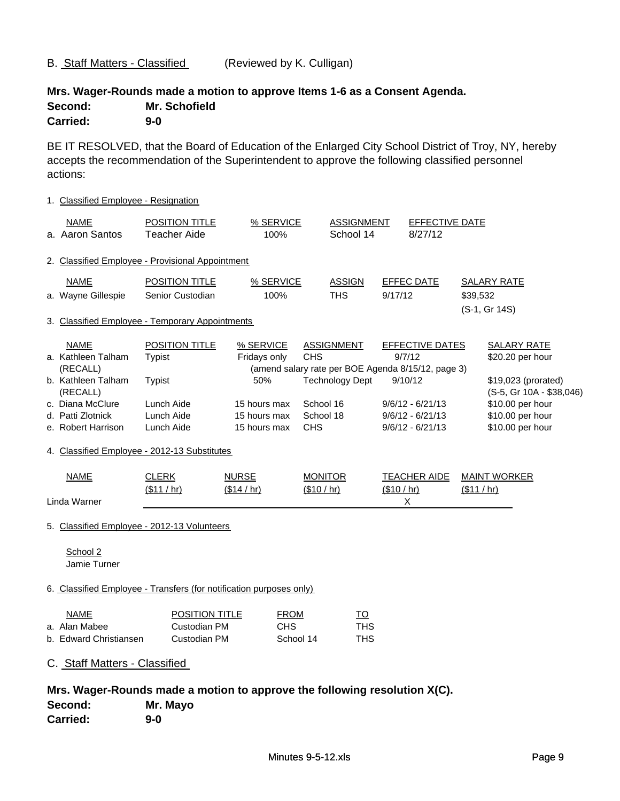# B. Staff Matters - Classified (Reviewed by K. Culligan)

# **Mrs. Wager-Rounds made a motion to approve Items 1-6 as a Consent Agenda. Second: Mr. Schofield Carried: 9-0**

BE IT RESOLVED, that the Board of Education of the Enlarged City School District of Troy, NY, hereby accepts the recommendation of the Superintendent to approve the following classified personnel actions:

| 1. Classified Employee - Resignation                                                                                                                                                           |                                                                                                   |                                                                                  |                                                    |                                             |             |                                                                                                                                                                     |             |                                                                                                                                                       |
|------------------------------------------------------------------------------------------------------------------------------------------------------------------------------------------------|---------------------------------------------------------------------------------------------------|----------------------------------------------------------------------------------|----------------------------------------------------|---------------------------------------------|-------------|---------------------------------------------------------------------------------------------------------------------------------------------------------------------|-------------|-------------------------------------------------------------------------------------------------------------------------------------------------------|
| <b>NAME</b><br>a. Aaron Santos                                                                                                                                                                 | POSITION TITLE<br><b>Teacher Aide</b>                                                             | % SERVICE<br>100%                                                                |                                                    | <b>ASSIGNMENT</b><br>School 14              |             | EFFECTIVE DATE<br>8/27/12                                                                                                                                           |             |                                                                                                                                                       |
| 2. Classified Employee - Provisional Appointment                                                                                                                                               |                                                                                                   |                                                                                  |                                                    |                                             |             |                                                                                                                                                                     |             |                                                                                                                                                       |
| <b>NAME</b><br>a. Wayne Gillespie<br>3. Classified Employee - Temporary Appointments                                                                                                           | <b>POSITION TITLE</b><br>Senior Custodian                                                         | % SERVICE<br>100%                                                                |                                                    | <b>ASSIGN</b><br><b>THS</b>                 | 9/17/12     | <b>EFFEC DATE</b>                                                                                                                                                   | \$39,532    | <b>SALARY RATE</b><br>(S-1, Gr 14S)                                                                                                                   |
| <b>NAME</b><br>a. Kathleen Talham<br>(RECALL)<br>b. Kathleen Talham<br>(RECALL)<br>c. Diana McClure<br>d. Patti Zlotnick<br>e. Robert Harrison<br>4. Classified Employee - 2012-13 Substitutes | <b>POSITION TITLE</b><br><b>Typist</b><br><b>Typist</b><br>Lunch Aide<br>Lunch Aide<br>Lunch Aide | % SERVICE<br>Fridays only<br>50%<br>15 hours max<br>15 hours max<br>15 hours max | <b>CHS</b><br>School 16<br>School 18<br><b>CHS</b> | <b>ASSIGNMENT</b><br><b>Technology Dept</b> |             | <b>EFFECTIVE DATES</b><br>9/7/12<br>(amend salary rate per BOE Agenda 8/15/12, page 3)<br>9/10/12<br>$9/6/12 - 6/21/13$<br>$9/6/12 - 6/21/13$<br>$9/6/12 - 6/21/13$ |             | <b>SALARY RATE</b><br>\$20.20 per hour<br>\$19,023 (prorated)<br>(S-5, Gr 10A - \$38,046)<br>\$10.00 per hour<br>\$10.00 per hour<br>\$10.00 per hour |
| <b>NAME</b><br>Linda Warner                                                                                                                                                                    | <b>CLERK</b><br>(\$11 / hr)                                                                       | <b>NURSE</b><br>(\$14 / hr)                                                      | <b>MONITOR</b><br>(\$10 / hr)                      |                                             | (\$10 / hr) | <b>TEACHER AIDE</b><br>X                                                                                                                                            | (\$11 / hr) | <b>MAINT WORKER</b>                                                                                                                                   |
| 5. Classified Employee - 2012-13 Volunteers<br>School 2<br>Jamie Turner                                                                                                                        |                                                                                                   |                                                                                  |                                                    |                                             |             |                                                                                                                                                                     |             |                                                                                                                                                       |
| 6. Classified Employee - Transfers (for notification purposes only)                                                                                                                            |                                                                                                   |                                                                                  |                                                    |                                             |             |                                                                                                                                                                     |             |                                                                                                                                                       |
| <b>NAME</b><br>a. Alan Mabee<br>b. Edward Christiansen<br>C. Staff Matters - Classified                                                                                                        | <b>POSITION TITLE</b><br>Custodian PM<br>Custodian PM                                             | <b>FROM</b><br><b>CHS</b>                                                        | School 14                                          | <u>TO</u><br><b>THS</b><br><b>THS</b>       |             |                                                                                                                                                                     |             |                                                                                                                                                       |
| Mrs. Wager-Rounds made a motion to approve the following resolution X(C).<br>Second:<br>Mr. Mayo<br><b>Carried:</b><br>$9-0$                                                                   |                                                                                                   |                                                                                  |                                                    |                                             |             |                                                                                                                                                                     |             |                                                                                                                                                       |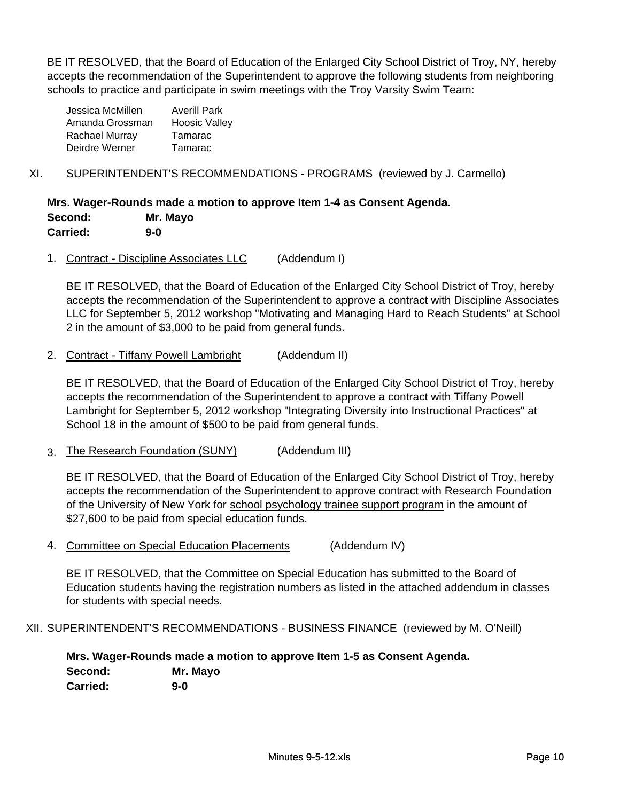BE IT RESOLVED, that the Board of Education of the Enlarged City School District of Troy, NY, hereby accepts the recommendation of the Superintendent to approve the following students from neighboring schools to practice and participate in swim meetings with the Troy Varsity Swim Team:

| Jessica McMillen | <b>Averill Park</b>  |
|------------------|----------------------|
| Amanda Grossman  | <b>Hoosic Valley</b> |
| Rachael Murray   | Tamarac              |
| Deirdre Werner   | Tamarac              |
|                  |                      |

# XI. SUPERINTENDENT'S RECOMMENDATIONS - PROGRAMS (reviewed by J. Carmello)

**Mrs. Wager-Rounds made a motion to approve Item 1-4 as Consent Agenda. Second: Mr. Mayo Carried: 9-0**

1. Contract - Discipline Associates LLC (Addendum I)

BE IT RESOLVED, that the Board of Education of the Enlarged City School District of Troy, hereby accepts the recommendation of the Superintendent to approve a contract with Discipline Associates LLC for September 5, 2012 workshop "Motivating and Managing Hard to Reach Students" at School 2 in the amount of \$3,000 to be paid from general funds.

2. Contract - Tiffany Powell Lambright (Addendum II)

BE IT RESOLVED, that the Board of Education of the Enlarged City School District of Troy, hereby accepts the recommendation of the Superintendent to approve a contract with Tiffany Powell Lambright for September 5, 2012 workshop "Integrating Diversity into Instructional Practices" at School 18 in the amount of \$500 to be paid from general funds.

3. The Research Foundation (SUNY) (Addendum III)

BE IT RESOLVED, that the Board of Education of the Enlarged City School District of Troy, hereby accepts the recommendation of the Superintendent to approve contract with Research Foundation of the University of New York for school psychology trainee support program in the amount of \$27,600 to be paid from special education funds.

4. Committee on Special Education Placements (Addendum IV)

BE IT RESOLVED, that the Committee on Special Education has submitted to the Board of Education students having the registration numbers as listed in the attached addendum in classes for students with special needs.

XII. SUPERINTENDENT'S RECOMMENDATIONS - BUSINESS FINANCE (reviewed by M. O'Neill)

**Mrs. Wager-Rounds made a motion to approve Item 1-5 as Consent Agenda. Second: Mr. Mayo Carried: 9-0**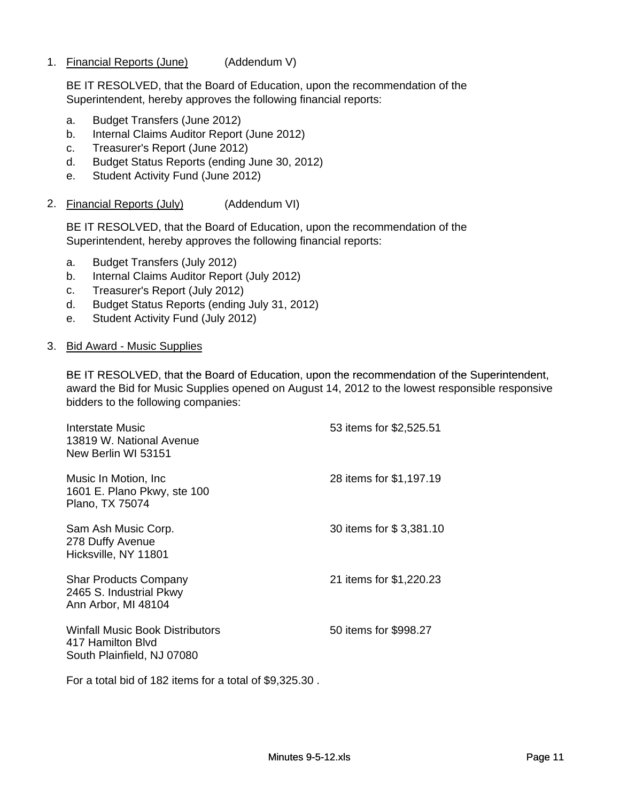1. Financial Reports (June) (Addendum V)

BE IT RESOLVED, that the Board of Education, upon the recommendation of the Superintendent, hereby approves the following financial reports:

- a. Budget Transfers (June 2012)
- b. Internal Claims Auditor Report (June 2012)
- c. Treasurer's Report (June 2012)
- d. Budget Status Reports (ending June 30, 2012)
- e. Student Activity Fund (June 2012)
- 2. Financial Reports (July) (Addendum VI)

BE IT RESOLVED, that the Board of Education, upon the recommendation of the Superintendent, hereby approves the following financial reports:

- a. Budget Transfers (July 2012)
- b. Internal Claims Auditor Report (July 2012)
- c. Treasurer's Report (July 2012)
- d. Budget Status Reports (ending July 31, 2012)
- e. Student Activity Fund (July 2012)

### 3. Bid Award - Music Supplies

BE IT RESOLVED, that the Board of Education, upon the recommendation of the Superintendent, award the Bid for Music Supplies opened on August 14, 2012 to the lowest responsible responsive bidders to the following companies:

| Interstate Music<br>13819 W. National Avenue<br>New Berlin WI 53151                       | 53 items for \$2,525.51 |
|-------------------------------------------------------------------------------------------|-------------------------|
| Music In Motion, Inc.<br>1601 E. Plano Pkwy, ste 100<br>Plano, TX 75074                   | 28 items for \$1,197.19 |
| Sam Ash Music Corp.<br>278 Duffy Avenue<br>Hicksville, NY 11801                           | 30 items for \$3,381.10 |
| <b>Shar Products Company</b><br>2465 S. Industrial Pkwy<br>Ann Arbor, MI 48104            | 21 items for \$1,220.23 |
| <b>Winfall Music Book Distributors</b><br>417 Hamilton Blyd<br>South Plainfield, NJ 07080 | 50 items for \$998.27   |

For a total bid of 182 items for a total of \$9,325.30 .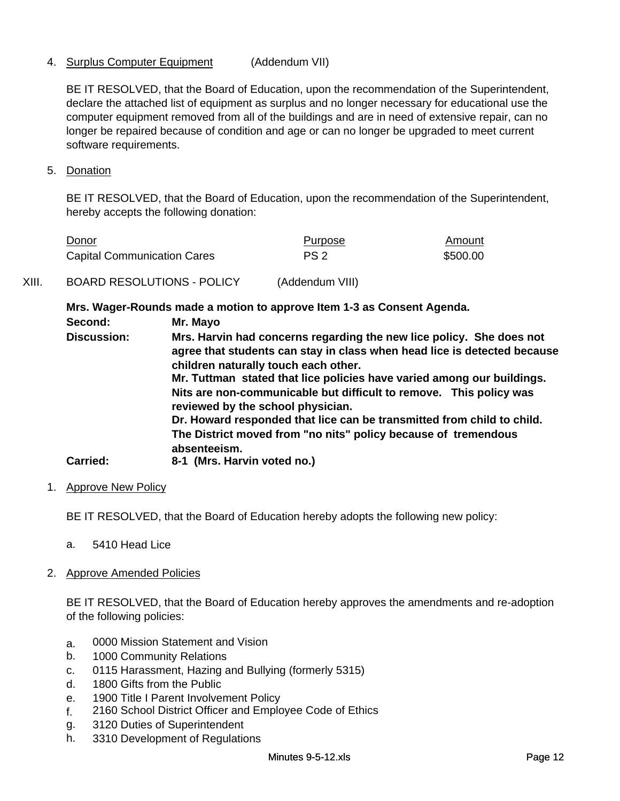# 4. Surplus Computer Equipment (Addendum VII)

BE IT RESOLVED, that the Board of Education, upon the recommendation of the Superintendent, declare the attached list of equipment as surplus and no longer necessary for educational use the computer equipment removed from all of the buildings and are in need of extensive repair, can no longer be repaired because of condition and age or can no longer be upgraded to meet current software requirements.

5. Donation

BE IT RESOLVED, that the Board of Education, upon the recommendation of the Superintendent, hereby accepts the following donation:

| Donor                              | Purpose         | Amount   |
|------------------------------------|-----------------|----------|
| <b>Capital Communication Cares</b> | PS <sub>2</sub> | \$500.00 |

# XIII. BOARD RESOLUTIONS - POLICY (Addendum VIII)

**Mrs. Wager-Rounds made a motion to approve Item 1-3 as Consent Agenda.**

**Mrs. Harvin had concerns regarding the new lice policy. She does not agree that students can stay in class when head lice is detected because children naturally touch each other.** Mr. Tuttman stated that lice policies have varied among our buildings. **Second: Mr. Mayo Discussion: Nits are non-communicable but difficult to remove. This policy was reviewed by the school physician. Dr. Howard responded that lice can be transmitted from child to child. The District moved from "no nits" policy because of tremendous absenteeism. Carried: 8-1 (Mrs. Harvin voted no.)**

1. Approve New Policy

BE IT RESOLVED, that the Board of Education hereby adopts the following new policy:

- a. 5410 Head Lice
- 2. Approve Amended Policies

BE IT RESOLVED, that the Board of Education hereby approves the amendments and re-adoption of the following policies:

- a. 0000 Mission Statement and Vision
- b. 1000 Community Relations
- c. 0115 Harassment, Hazing and Bullying (formerly 5315)
- d. 1800 Gifts from the Public
- e. 1900 Title I Parent Involvement Policy
- f. 2160 School District Officer and Employee Code of Ethics
- g. 3120 Duties of Superintendent
- h. 3310 Development of Regulations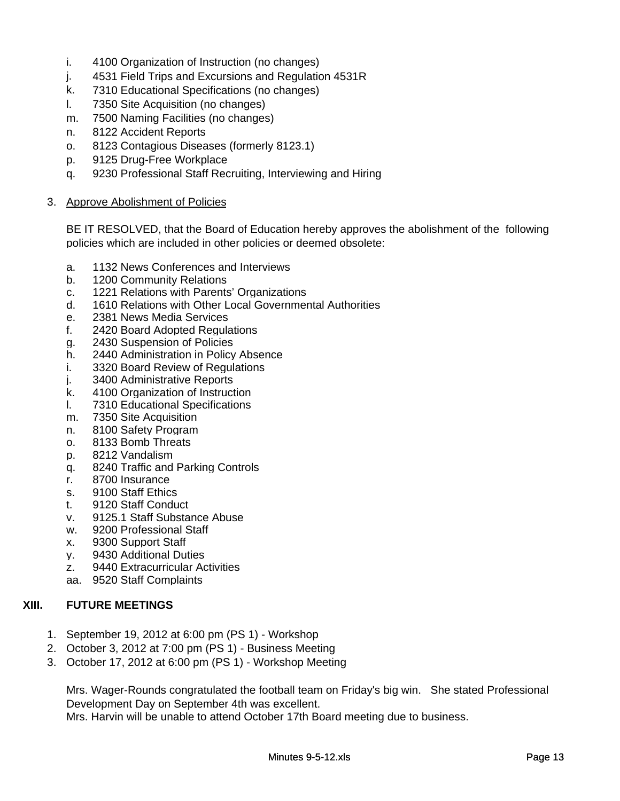- i. 4100 Organization of Instruction (no changes)
- j. 4531 Field Trips and Excursions and Regulation 4531R
- k. 7310 Educational Specifications (no changes)
- l. 7350 Site Acquisition (no changes)
- m. 7500 Naming Facilities (no changes)
- n. 8122 Accident Reports
- o. 8123 Contagious Diseases (formerly 8123.1)
- p. 9125 Drug-Free Workplace
- q. 9230 Professional Staff Recruiting, Interviewing and Hiring

## 3. Approve Abolishment of Policies

BE IT RESOLVED, that the Board of Education hereby approves the abolishment of the following policies which are included in other policies or deemed obsolete:

- a. 1132 News Conferences and Interviews
- b. 1200 Community Relations
- c. 1221 Relations with Parents' Organizations
- d. 1610 Relations with Other Local Governmental Authorities
- e. 2381 News Media Services
- f. 2420 Board Adopted Regulations
- g. 2430 Suspension of Policies
- h. 2440 Administration in Policy Absence
- i. 3320 Board Review of Regulations
- j. 3400 Administrative Reports
- k. 4100 Organization of Instruction
- l. 7310 Educational Specifications
- m. 7350 Site Acquisition
- n. 8100 Safety Program
- o. 8133 Bomb Threats
- p. 8212 Vandalism
- q. 8240 Traffic and Parking Controls
- r. 8700 Insurance
- s. 9100 Staff Ethics
- t. 9120 Staff Conduct
- v. 9125.1 Staff Substance Abuse
- w. 9200 Professional Staff
- x. 9300 Support Staff
- y. 9430 Additional Duties
- z. 9440 Extracurricular Activities
- aa. 9520 Staff Complaints

# **XIII. FUTURE MEETINGS**

- 1. September 19, 2012 at 6:00 pm (PS 1) Workshop
- 2. October 3, 2012 at 7:00 pm (PS 1) Business Meeting
- 3. October 17, 2012 at 6:00 pm (PS 1) Workshop Meeting

Mrs. Wager-Rounds congratulated the football team on Friday's big win. She stated Professional Development Day on September 4th was excellent.

Mrs. Harvin will be unable to attend October 17th Board meeting due to business.